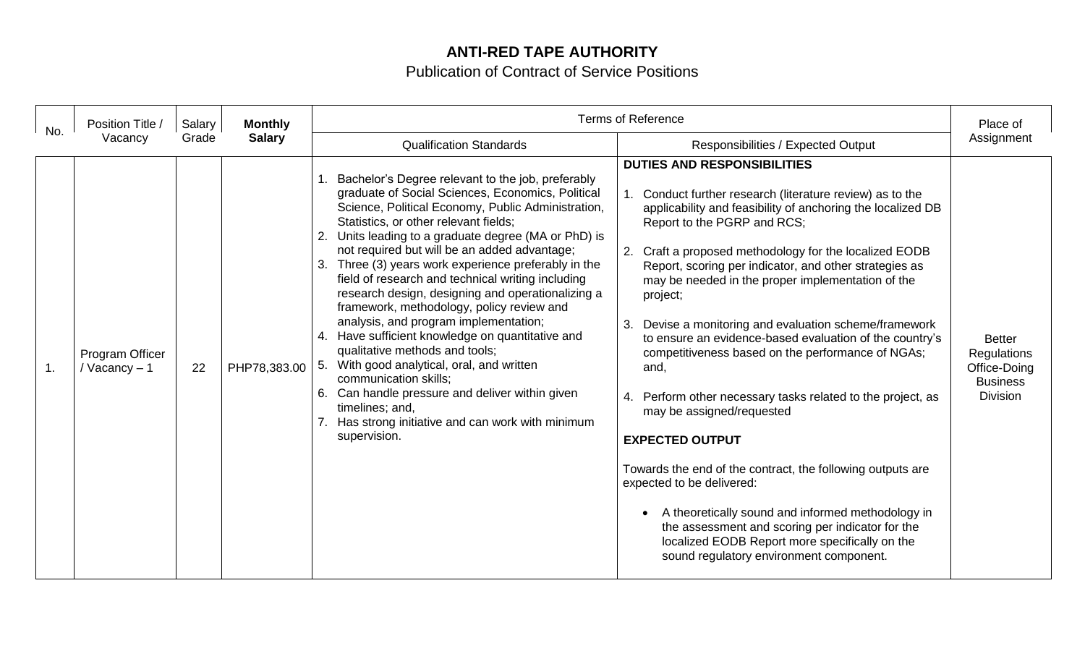## **ANTI-RED TAPE AUTHORITY**

## Publication of Contract of Service Positions

| No.           | Position Title /<br>Vacancy        | Salary<br>Grade | <b>Monthly</b><br><b>Salary</b> | <b>Terms of Reference</b>                                                                                                                                                                                                                                                                                                                                                                                                                                                                                                                                                                                                                                                                                                                                                                                                                                                         |                                                                                                                                                                                                                                                                                                                                                                                                                                                                                                                                                                                                                                                                                                                                                                                                                                                                                                                                                                                             | Place of                                                                                  |
|---------------|------------------------------------|-----------------|---------------------------------|-----------------------------------------------------------------------------------------------------------------------------------------------------------------------------------------------------------------------------------------------------------------------------------------------------------------------------------------------------------------------------------------------------------------------------------------------------------------------------------------------------------------------------------------------------------------------------------------------------------------------------------------------------------------------------------------------------------------------------------------------------------------------------------------------------------------------------------------------------------------------------------|---------------------------------------------------------------------------------------------------------------------------------------------------------------------------------------------------------------------------------------------------------------------------------------------------------------------------------------------------------------------------------------------------------------------------------------------------------------------------------------------------------------------------------------------------------------------------------------------------------------------------------------------------------------------------------------------------------------------------------------------------------------------------------------------------------------------------------------------------------------------------------------------------------------------------------------------------------------------------------------------|-------------------------------------------------------------------------------------------|
|               |                                    |                 |                                 | <b>Qualification Standards</b>                                                                                                                                                                                                                                                                                                                                                                                                                                                                                                                                                                                                                                                                                                                                                                                                                                                    | Responsibilities / Expected Output                                                                                                                                                                                                                                                                                                                                                                                                                                                                                                                                                                                                                                                                                                                                                                                                                                                                                                                                                          | Assignment                                                                                |
| $\mathbf 1$ . | Program Officer<br>/ $Vacancy - 1$ | 22              | PHP78,383.00                    | Bachelor's Degree relevant to the job, preferably<br>graduate of Social Sciences, Economics, Political<br>Science, Political Economy, Public Administration,<br>Statistics, or other relevant fields;<br>2. Units leading to a graduate degree (MA or PhD) is<br>not required but will be an added advantage;<br>Three (3) years work experience preferably in the<br>3.<br>field of research and technical writing including<br>research design, designing and operationalizing a<br>framework, methodology, policy review and<br>analysis, and program implementation;<br>4. Have sufficient knowledge on quantitative and<br>qualitative methods and tools;<br>With good analytical, oral, and written<br>5.<br>communication skills;<br>6. Can handle pressure and deliver within given<br>timelines; and,<br>Has strong initiative and can work with minimum<br>supervision. | <b>DUTIES AND RESPONSIBILITIES</b><br>Conduct further research (literature review) as to the<br>applicability and feasibility of anchoring the localized DB<br>Report to the PGRP and RCS;<br>2.<br>Craft a proposed methodology for the localized EODB<br>Report, scoring per indicator, and other strategies as<br>may be needed in the proper implementation of the<br>project;<br>Devise a monitoring and evaluation scheme/framework<br>3.<br>to ensure an evidence-based evaluation of the country's<br>competitiveness based on the performance of NGAs;<br>and,<br>Perform other necessary tasks related to the project, as<br>may be assigned/requested<br><b>EXPECTED OUTPUT</b><br>Towards the end of the contract, the following outputs are<br>expected to be delivered:<br>A theoretically sound and informed methodology in<br>the assessment and scoring per indicator for the<br>localized EODB Report more specifically on the<br>sound regulatory environment component. | <b>Better</b><br><b>Regulations</b><br>Office-Doing<br><b>Business</b><br><b>Division</b> |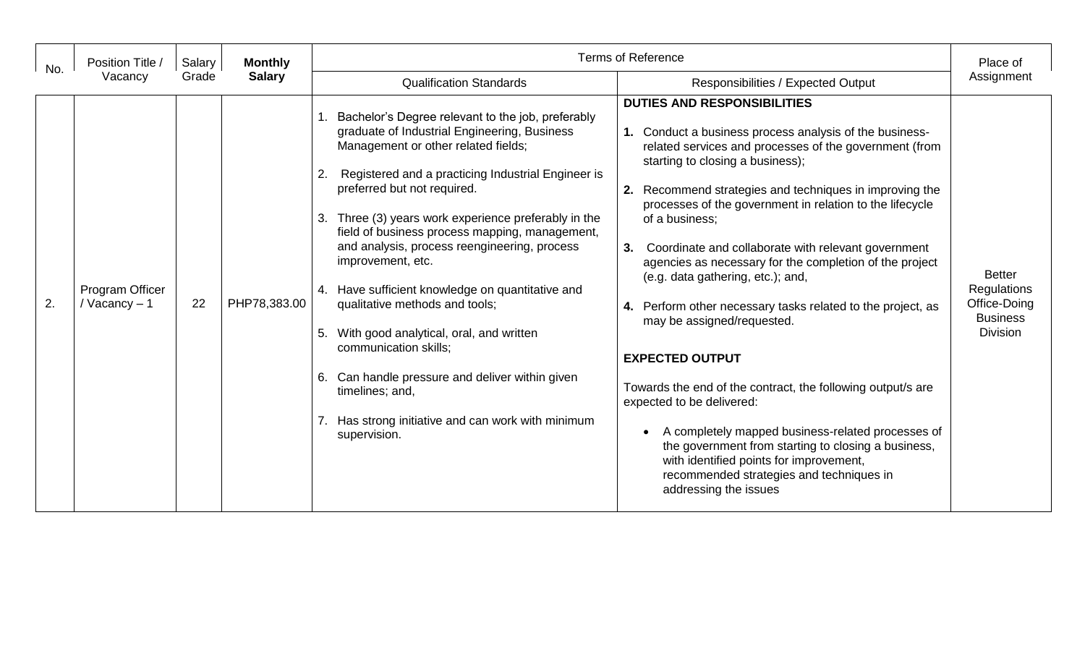| No. | Position Title /<br>Vacancy        | Salary<br>Grade | <b>Monthly</b><br><b>Salary</b> | <b>Terms of Reference</b>                                                                                                                                                                                                                                                                                                                                                                                                                                                                                                                                                                                                                                                                                                      |                                                                                                                                                                                                                                                                                                                                                                                                                                                                                                                                                                                                                                                                                                                                                                                                                                                                                                                                               | Place of                                                                                  |
|-----|------------------------------------|-----------------|---------------------------------|--------------------------------------------------------------------------------------------------------------------------------------------------------------------------------------------------------------------------------------------------------------------------------------------------------------------------------------------------------------------------------------------------------------------------------------------------------------------------------------------------------------------------------------------------------------------------------------------------------------------------------------------------------------------------------------------------------------------------------|-----------------------------------------------------------------------------------------------------------------------------------------------------------------------------------------------------------------------------------------------------------------------------------------------------------------------------------------------------------------------------------------------------------------------------------------------------------------------------------------------------------------------------------------------------------------------------------------------------------------------------------------------------------------------------------------------------------------------------------------------------------------------------------------------------------------------------------------------------------------------------------------------------------------------------------------------|-------------------------------------------------------------------------------------------|
|     |                                    |                 |                                 | <b>Qualification Standards</b>                                                                                                                                                                                                                                                                                                                                                                                                                                                                                                                                                                                                                                                                                                 | Responsibilities / Expected Output                                                                                                                                                                                                                                                                                                                                                                                                                                                                                                                                                                                                                                                                                                                                                                                                                                                                                                            | Assignment                                                                                |
| 2.  | Program Officer<br>/ $Vacancy - 1$ | 22              | PHP78,383.00                    | 1. Bachelor's Degree relevant to the job, preferably<br>graduate of Industrial Engineering, Business<br>Management or other related fields;<br>Registered and a practicing Industrial Engineer is<br>2.<br>preferred but not required.<br>3. Three (3) years work experience preferably in the<br>field of business process mapping, management,<br>and analysis, process reengineering, process<br>improvement, etc.<br>4. Have sufficient knowledge on quantitative and<br>qualitative methods and tools;<br>5. With good analytical, oral, and written<br>communication skills;<br>6. Can handle pressure and deliver within given<br>timelines; and,<br>7. Has strong initiative and can work with minimum<br>supervision. | <b>DUTIES AND RESPONSIBILITIES</b><br>1. Conduct a business process analysis of the business-<br>related services and processes of the government (from<br>starting to closing a business);<br>Recommend strategies and techniques in improving the<br>processes of the government in relation to the lifecycle<br>of a business;<br>Coordinate and collaborate with relevant government<br>3.<br>agencies as necessary for the completion of the project<br>(e.g. data gathering, etc.); and,<br>4. Perform other necessary tasks related to the project, as<br>may be assigned/requested.<br><b>EXPECTED OUTPUT</b><br>Towards the end of the contract, the following output/s are<br>expected to be delivered:<br>A completely mapped business-related processes of<br>the government from starting to closing a business,<br>with identified points for improvement,<br>recommended strategies and techniques in<br>addressing the issues | <b>Better</b><br><b>Regulations</b><br>Office-Doing<br><b>Business</b><br><b>Division</b> |